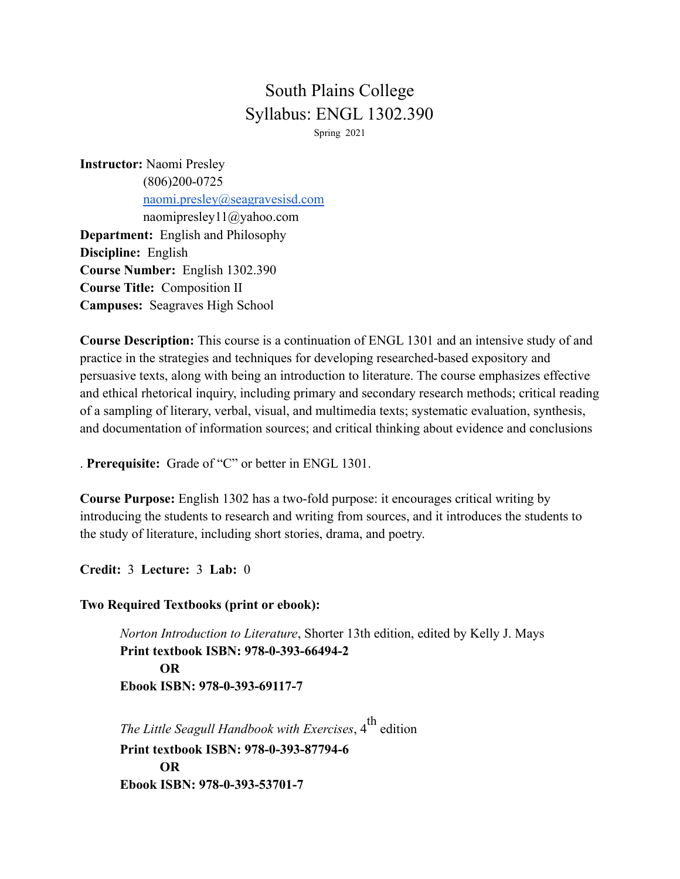# South Plains College Syllabus: ENGL 1302.390

Spring 2021

**Instructor:** Naomi Presley (806)200-0725 [naomi.presley@seagravesisd.com](mailto:naomi.presley@seagravesisd.com) naomipresley11@yahoo.com **Department:** English and Philosophy **Discipline:** English **Course Number:** English 1302.390 **Course Title:** Composition II **Campuses:** Seagraves High School

**Course Description:** This course is a continuation of ENGL 1301 and an intensive study of and practice in the strategies and techniques for developing researched-based expository and persuasive texts, along with being an introduction to literature. The course emphasizes effective and ethical rhetorical inquiry, including primary and secondary research methods; critical reading of a sampling of literary, verbal, visual, and multimedia texts; systematic evaluation, synthesis, and documentation of information sources; and critical thinking about evidence and conclusions

. **Prerequisite:** Grade of "C" or better in ENGL 1301.

**Course Purpose:** English 1302 has a two-fold purpose: it encourages critical writing by introducing the students to research and writing from sources, and it introduces the students to the study of literature, including short stories, drama, and poetry.

**Credit:** 3 **Lecture:** 3 **Lab:** 0

**Two Required Textbooks (print or ebook):**

*Norton Introduction to Literature*, Shorter 13th edition, edited by Kelly J. Mays **Print textbook ISBN: 978-0-393-66494-2 OR Ebook ISBN: 978-0-393-69117-7**

*The Little Seagull Handbook with Exercises*, 4th edition **Print textbook ISBN: 978-0-393-87794-6 OR Ebook ISBN: 978-0-393-53701-7**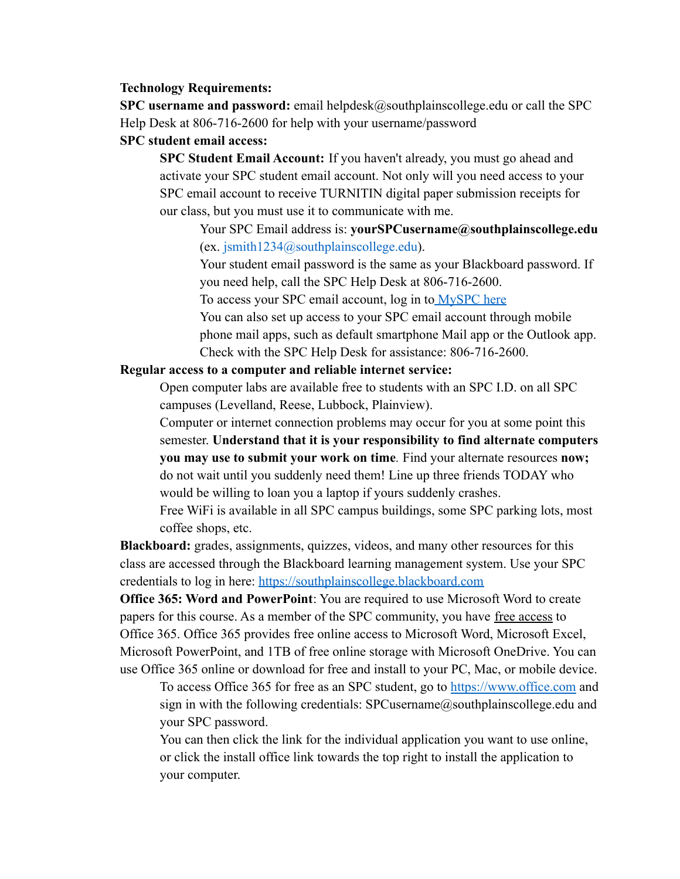#### **Technology Requirements:**

**SPC username and password:** email helpdesk@southplainscollege.edu or call the SPC Help Desk at 806-716-2600 for help with your username/password

#### **SPC student email access:**

**SPC Student Email Account:** If you haven't already, you must go ahead and activate your SPC student email account. Not only will you need access to your SPC email account to receive TURNITIN digital paper submission receipts for our class, but you must use it to communicate with me.

Your SPC Email address is: **yourSPCusername@southplainscollege.edu** (ex. jsmith1234@southplainscollege.edu).

Your student email password is the same as your Blackboard password. If you need help, call the SPC Help Desk at 806-716-2600.

To access your SPC email account, log in to [MySPC](https://fs.southplainscollege.edu/adfs/ls?wa=wsignin1.0&wtrealm=urn%3aportal.southplainscollege.edu%3a443&wctx=https%3a%2f%2fportal.southplainscollege.edu%2f_layouts%2f15%2fAuthenticate.aspx%3fSource%3d%252F&wreply=https%3a%2f%2fportal.southplainscollege.edu%2f_trust%2fdefault.aspx) here

You can also set up access to your SPC email account through mobile phone mail apps, such as default smartphone Mail app or the Outlook app. Check with the SPC Help Desk for assistance: 806-716-2600.

#### **Regular access to a computer and reliable internet service:**

Open computer labs are available free to students with an SPC I.D. on all SPC campuses (Levelland, Reese, Lubbock, Plainview).

Computer or internet connection problems may occur for you at some point this semester. **Understand that it is your responsibility to find alternate computers you may use to submit your work on time***.* Find your alternate resources **now;** do not wait until you suddenly need them! Line up three friends TODAY who would be willing to loan you a laptop if yours suddenly crashes.

Free WiFi is available in all SPC campus buildings, some SPC parking lots, most coffee shops, etc.

**Blackboard:** grades, assignments, quizzes, videos, and many other resources for this class are accessed through the Blackboard learning management system. Use your SPC credentials to log in here: [https://southplainscollege.blackboard.com](https://southplainscollege.blackboard.com/)

**Office 365: Word and PowerPoint**: You are required to use Microsoft Word to create papers for this course. As a member of the SPC community, you have free access to Office 365. Office 365 provides free online access to Microsoft Word, Microsoft Excel, Microsoft PowerPoint, and 1TB of free online storage with Microsoft OneDrive. You can use Office 365 online or download for free and install to your PC, Mac, or mobile device.

To access Office 365 for free as an SPC student, go to [https://www.office.com](https://www.office.com/) and sign in with the following credentials: SPCusername@southplainscollege.edu and your SPC password.

You can then click the link for the individual application you want to use online, or click the install office link towards the top right to install the application to your computer.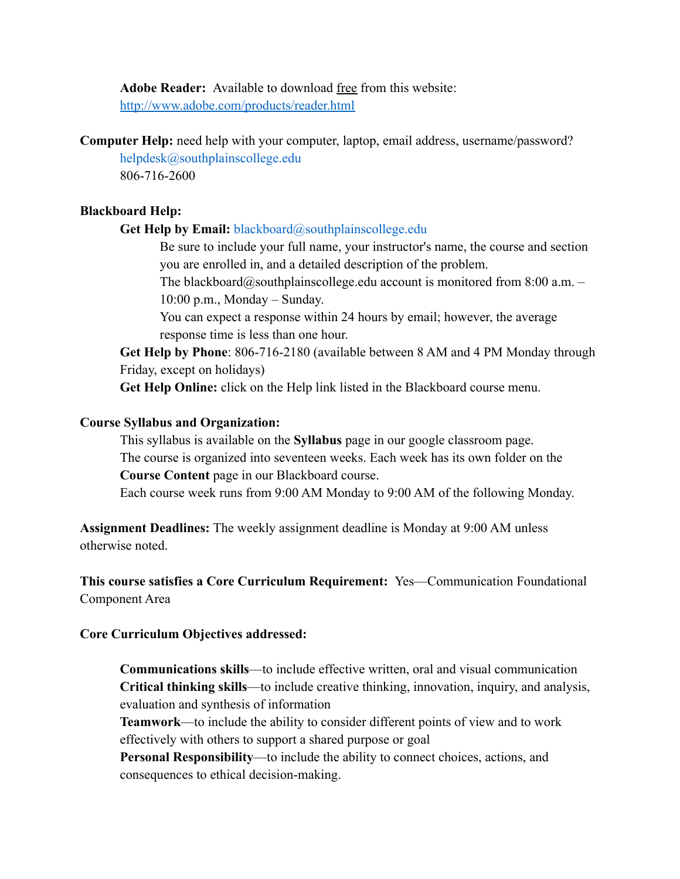**Adobe Reader:** Available to download free from this website[:](http://www.adobe.com/products/reader.html) <http://www.adobe.com/products/reader.html>

**Computer Help:** need help with your computer, laptop, email address, username/password? helpdesk@southplainscollege.edu 806-716-2600

#### **Blackboard Help:**

Get Help by Email: blackboard@southplainscollege.edu

Be sure to include your full name, your instructor's name, the course and section you are enrolled in, and a detailed description of the problem.

The blackboard@southplainscollege.edu account is monitored from 8:00 a.m.  $-$ 10:00 p.m., Monday – Sunday.

You can expect a response within 24 hours by email; however, the average response time is less than one hour.

**Get Help by Phone**: 806-716-2180 (available between 8 AM and 4 PM Monday through Friday, except on holidays)

**Get Help Online:** click on the Help link listed in the Blackboard course menu.

#### **Course Syllabus and Organization:**

This syllabus is available on the **Syllabus** page in our google classroom page. The course is organized into seventeen weeks. Each week has its own folder on the **Course Content** page in our Blackboard course.

Each course week runs from 9:00 AM Monday to 9:00 AM of the following Monday.

**Assignment Deadlines:** The weekly assignment deadline is Monday at 9:00 AM unless otherwise noted.

**This course satisfies a Core Curriculum Requirement:** Yes—Communication Foundational Component Area

#### **Core Curriculum Objectives addressed:**

**Communications skills**—to include effective written, oral and visual communication **Critical thinking skills**—to include creative thinking, innovation, inquiry, and analysis, evaluation and synthesis of information

**Teamwork**—to include the ability to consider different points of view and to work effectively with others to support a shared purpose or goal

**Personal Responsibility**—to include the ability to connect choices, actions, and consequences to ethical decision-making.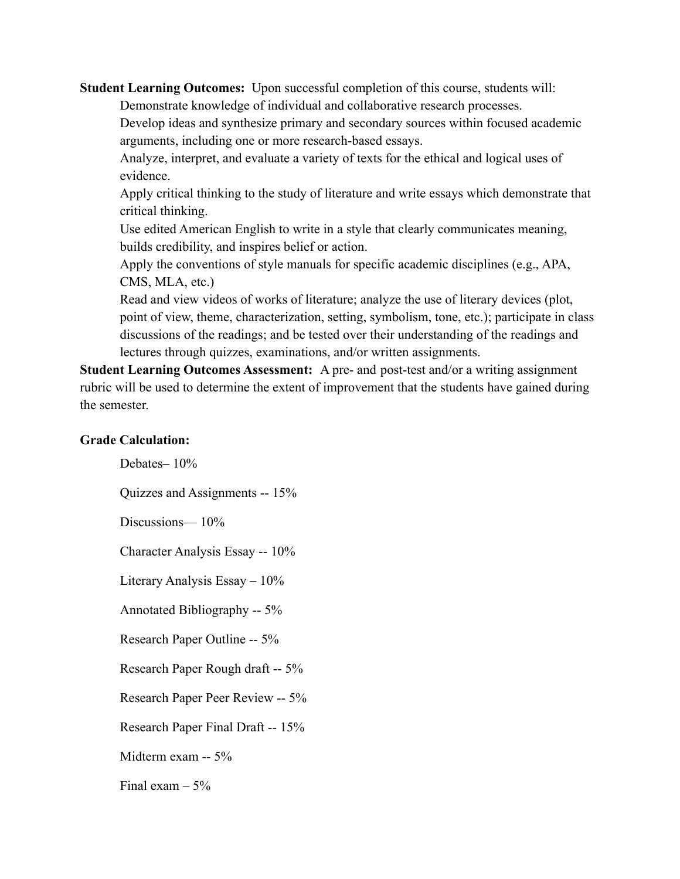**Student Learning Outcomes:** Upon successful completion of this course, students will:

Demonstrate knowledge of individual and collaborative research processes.

Develop ideas and synthesize primary and secondary sources within focused academic arguments, including one or more research-based essays.

Analyze, interpret, and evaluate a variety of texts for the ethical and logical uses of evidence.

Apply critical thinking to the study of literature and write essays which demonstrate that critical thinking.

Use edited American English to write in a style that clearly communicates meaning, builds credibility, and inspires belief or action.

Apply the conventions of style manuals for specific academic disciplines (e.g., APA, CMS, MLA, etc.)

Read and view videos of works of literature; analyze the use of literary devices (plot, point of view, theme, characterization, setting, symbolism, tone, etc.); participate in class discussions of the readings; and be tested over their understanding of the readings and lectures through quizzes, examinations, and/or written assignments.

**Student Learning Outcomes Assessment:** A pre- and post-test and/or a writing assignment rubric will be used to determine the extent of improvement that the students have gained during the semester.

## **Grade Calculation:**

Debates– 10% Quizzes and Assignments -- 15% Discussions-10% Character Analysis Essay -- 10% Literary Analysis Essay – 10% Annotated Bibliography -- 5% Research Paper Outline -- 5% Research Paper Rough draft -- 5% Research Paper Peer Review -- 5% Research Paper Final Draft -- 15% Midterm exam -- 5% Final exam  $-5\%$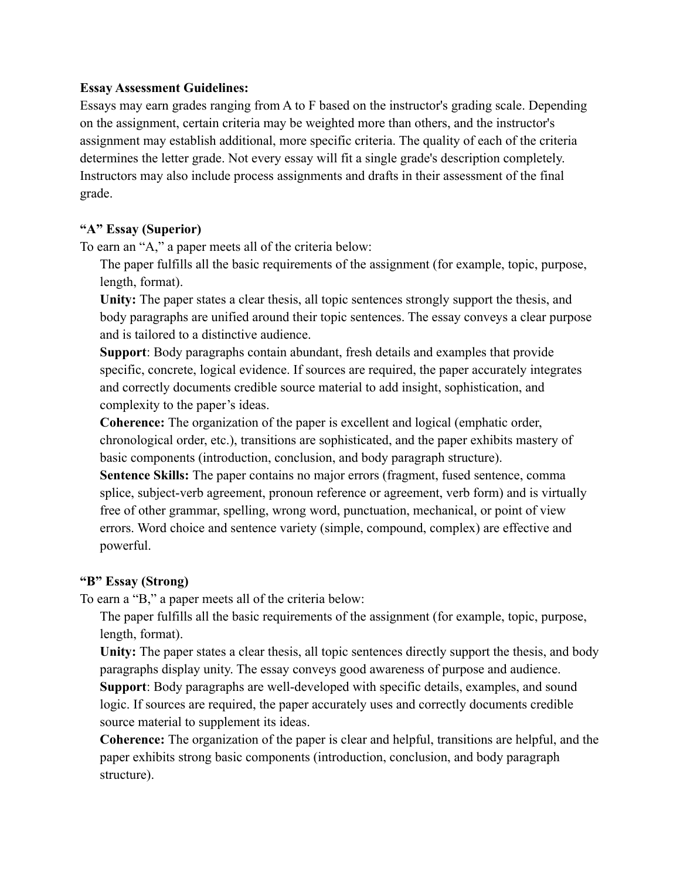#### **Essay Assessment Guidelines:**

Essays may earn grades ranging from A to F based on the instructor's grading scale. Depending on the assignment, certain criteria may be weighted more than others, and the instructor's assignment may establish additional, more specific criteria. The quality of each of the criteria determines the letter grade. Not every essay will fit a single grade's description completely. Instructors may also include process assignments and drafts in their assessment of the final grade.

## **"A" Essay (Superior)**

To earn an "A," a paper meets all of the criteria below:

The paper fulfills all the basic requirements of the assignment (for example, topic, purpose, length, format).

**Unity:** The paper states a clear thesis, all topic sentences strongly support the thesis, and body paragraphs are unified around their topic sentences. The essay conveys a clear purpose and is tailored to a distinctive audience.

**Support**: Body paragraphs contain abundant, fresh details and examples that provide specific, concrete, logical evidence. If sources are required, the paper accurately integrates and correctly documents credible source material to add insight, sophistication, and complexity to the paper's ideas.

**Coherence:** The organization of the paper is excellent and logical (emphatic order, chronological order, etc.), transitions are sophisticated, and the paper exhibits mastery of basic components (introduction, conclusion, and body paragraph structure).

**Sentence Skills:** The paper contains no major errors (fragment, fused sentence, comma splice, subject-verb agreement, pronoun reference or agreement, verb form) and is virtually free of other grammar, spelling, wrong word, punctuation, mechanical, or point of view errors. Word choice and sentence variety (simple, compound, complex) are effective and powerful.

# **"B" Essay (Strong)**

To earn a "B," a paper meets all of the criteria below:

The paper fulfills all the basic requirements of the assignment (for example, topic, purpose, length, format).

**Unity:** The paper states a clear thesis, all topic sentences directly support the thesis, and body paragraphs display unity. The essay conveys good awareness of purpose and audience. **Support**: Body paragraphs are well-developed with specific details, examples, and sound logic. If sources are required, the paper accurately uses and correctly documents credible source material to supplement its ideas.

**Coherence:** The organization of the paper is clear and helpful, transitions are helpful, and the paper exhibits strong basic components (introduction, conclusion, and body paragraph structure).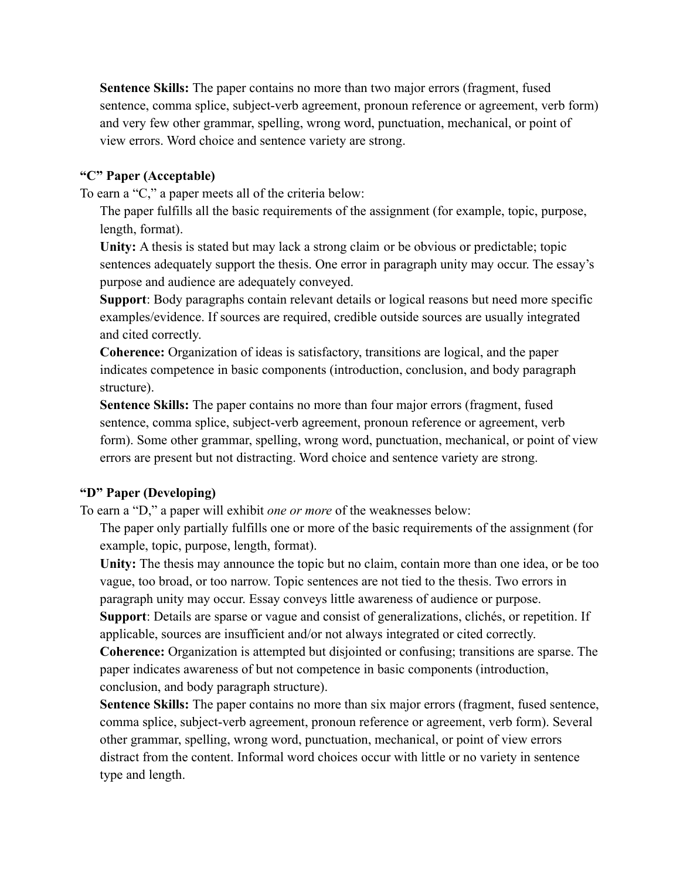**Sentence Skills:** The paper contains no more than two major errors (fragment, fused sentence, comma splice, subject-verb agreement, pronoun reference or agreement, verb form) and very few other grammar, spelling, wrong word, punctuation, mechanical, or point of view errors. Word choice and sentence variety are strong.

## **"C" Paper (Acceptable)**

To earn a "C," a paper meets all of the criteria below:

The paper fulfills all the basic requirements of the assignment (for example, topic, purpose, length, format).

**Unity:** A thesis is stated but may lack a strong claim or be obvious or predictable; topic sentences adequately support the thesis. One error in paragraph unity may occur. The essay's purpose and audience are adequately conveyed.

**Support**: Body paragraphs contain relevant details or logical reasons but need more specific examples/evidence. If sources are required, credible outside sources are usually integrated and cited correctly.

**Coherence:** Organization of ideas is satisfactory, transitions are logical, and the paper indicates competence in basic components (introduction, conclusion, and body paragraph structure).

**Sentence Skills:** The paper contains no more than four major errors (fragment, fused sentence, comma splice, subject-verb agreement, pronoun reference or agreement, verb form). Some other grammar, spelling, wrong word, punctuation, mechanical, or point of view errors are present but not distracting. Word choice and sentence variety are strong.

# **"D" Paper (Developing)**

To earn a "D," a paper will exhibit *one or more* of the weaknesses below:

The paper only partially fulfills one or more of the basic requirements of the assignment (for example, topic, purpose, length, format).

**Unity:** The thesis may announce the topic but no claim, contain more than one idea, or be too vague, too broad, or too narrow. Topic sentences are not tied to the thesis. Two errors in paragraph unity may occur. Essay conveys little awareness of audience or purpose.

**Support**: Details are sparse or vague and consist of generalizations, clichés, or repetition. If

applicable, sources are insufficient and/or not always integrated or cited correctly.

**Coherence:** Organization is attempted but disjointed or confusing; transitions are sparse. The paper indicates awareness of but not competence in basic components (introduction, conclusion, and body paragraph structure).

**Sentence Skills:** The paper contains no more than six major errors (fragment, fused sentence, comma splice, subject-verb agreement, pronoun reference or agreement, verb form). Several other grammar, spelling, wrong word, punctuation, mechanical, or point of view errors distract from the content. Informal word choices occur with little or no variety in sentence type and length.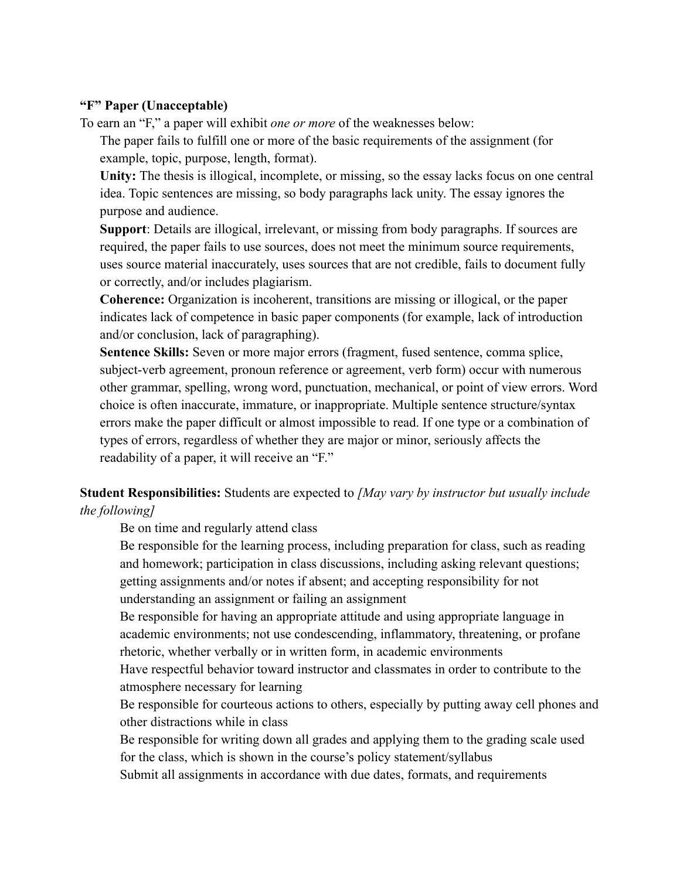### **"F" Paper (Unacceptable)**

To earn an "F," a paper will exhibit *one or more* of the weaknesses below:

The paper fails to fulfill one or more of the basic requirements of the assignment (for example, topic, purpose, length, format).

**Unity:** The thesis is illogical, incomplete, or missing, so the essay lacks focus on one central idea. Topic sentences are missing, so body paragraphs lack unity. The essay ignores the purpose and audience.

**Support**: Details are illogical, irrelevant, or missing from body paragraphs. If sources are required, the paper fails to use sources, does not meet the minimum source requirements, uses source material inaccurately, uses sources that are not credible, fails to document fully or correctly, and/or includes plagiarism.

**Coherence:** Organization is incoherent, transitions are missing or illogical, or the paper indicates lack of competence in basic paper components (for example, lack of introduction and/or conclusion, lack of paragraphing).

**Sentence Skills:** Seven or more major errors (fragment, fused sentence, comma splice, subject-verb agreement, pronoun reference or agreement, verb form) occur with numerous other grammar, spelling, wrong word, punctuation, mechanical, or point of view errors. Word choice is often inaccurate, immature, or inappropriate. Multiple sentence structure/syntax errors make the paper difficult or almost impossible to read. If one type or a combination of types of errors, regardless of whether they are major or minor, seriously affects the readability of a paper, it will receive an "F."

# **Student Responsibilities:** Students are expected to *[May vary by instructor but usually include the following]*

Be on time and regularly attend class

Be responsible for the learning process, including preparation for class, such as reading and homework; participation in class discussions, including asking relevant questions; getting assignments and/or notes if absent; and accepting responsibility for not understanding an assignment or failing an assignment

Be responsible for having an appropriate attitude and using appropriate language in academic environments; not use condescending, inflammatory, threatening, or profane rhetoric, whether verbally or in written form, in academic environments

Have respectful behavior toward instructor and classmates in order to contribute to the atmosphere necessary for learning

Be responsible for courteous actions to others, especially by putting away cell phones and other distractions while in class

Be responsible for writing down all grades and applying them to the grading scale used for the class, which is shown in the course's policy statement/syllabus

Submit all assignments in accordance with due dates, formats, and requirements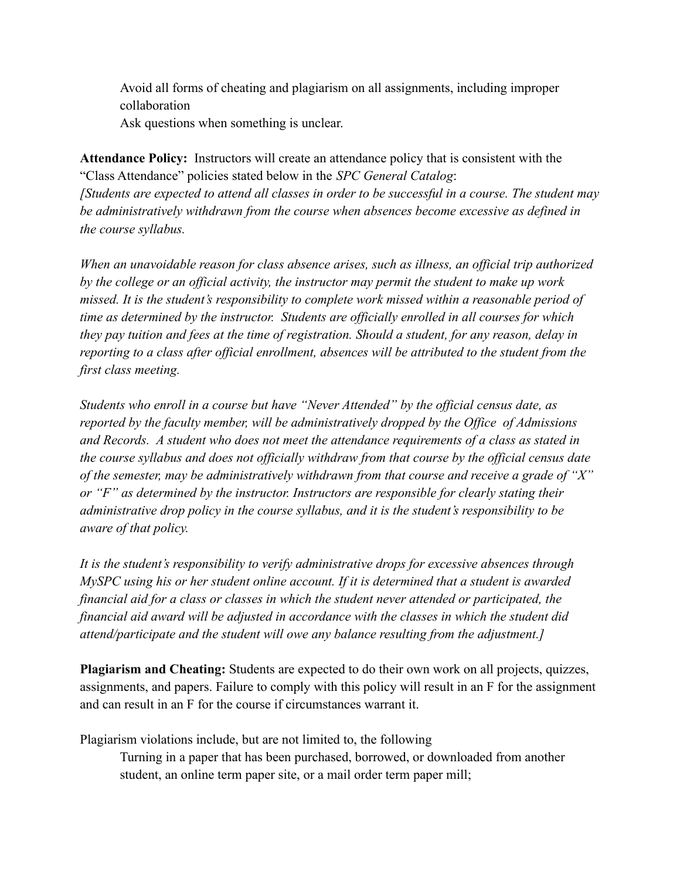Avoid all forms of cheating and plagiarism on all assignments, including improper collaboration

Ask questions when something is unclear.

**Attendance Policy:** Instructors will create an attendance policy that is consistent with the "Class Attendance" policies stated below in the *SPC General Catalog*: *[Students are expected to attend all classes in order to be successful in a course. The student may be administratively withdrawn from the course when absences become excessive as defined in the course syllabus.*

*When an unavoidable reason for class absence arises, such as illness, an official trip authorized by the college or an official activity, the instructor may permit the student to make up work missed. It is the student's responsibility to complete work missed within a reasonable period of time as determined by the instructor. Students are officially enrolled in all courses for which they pay tuition and fees at the time of registration. Should a student, for any reason, delay in reporting to a class after official enrollment, absences will be attributed to the student from the first class meeting.*

*Students who enroll in a course but have "Never Attended" by the official census date, as reported by the faculty member, will be administratively dropped by the Office of Admissions and Records. A student who does not meet the attendance requirements of a class as stated in the course syllabus and does not officially withdraw from that course by the official census date of the semester, may be administratively withdrawn from that course and receive a grade of "X" or "F" as determined by the instructor. Instructors are responsible for clearly stating their administrative drop policy in the course syllabus, and it is the student's responsibility to be aware of that policy.*

*It is the student's responsibility to verify administrative drops for excessive absences through MySPC using his or her student online account. If it is determined that a student is awarded financial aid for a class or classes in which the student never attended or participated, the financial aid award will be adjusted in accordance with the classes in which the student did attend/participate and the student will owe any balance resulting from the adjustment.]*

**Plagiarism and Cheating:** Students are expected to do their own work on all projects, quizzes, assignments, and papers. Failure to comply with this policy will result in an F for the assignment and can result in an F for the course if circumstances warrant it.

Plagiarism violations include, but are not limited to, the following

Turning in a paper that has been purchased, borrowed, or downloaded from another student, an online term paper site, or a mail order term paper mill;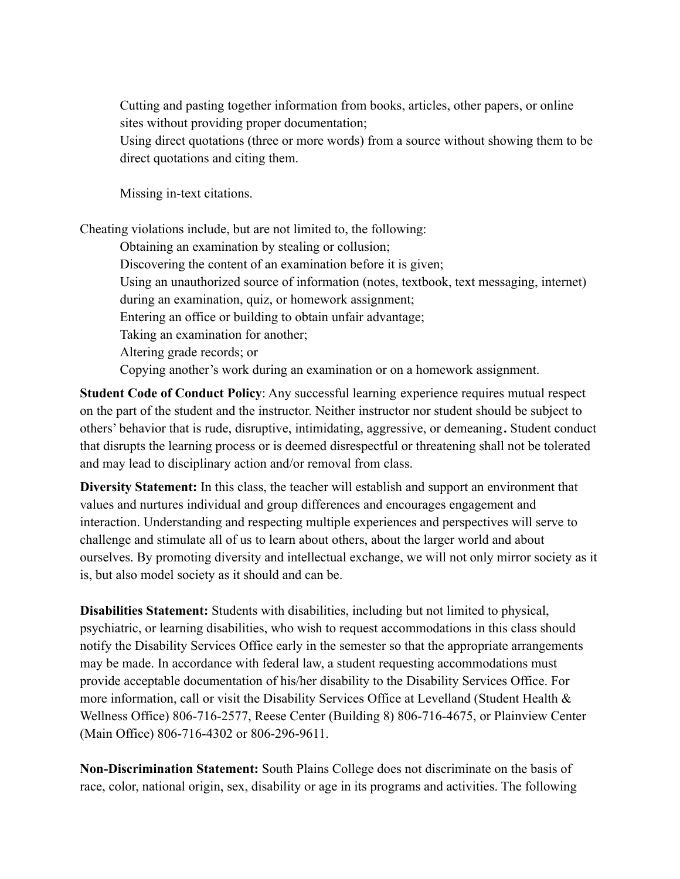Cutting and pasting together information from books, articles, other papers, or online sites without providing proper documentation;

Using direct quotations (three or more words) from a source without showing them to be direct quotations and citing them.

Missing in-text citations.

Cheating violations include, but are not limited to, the following:

Obtaining an examination by stealing or collusion;

Discovering the content of an examination before it is given;

Using an unauthorized source of information (notes, textbook, text messaging, internet)

during an examination, quiz, or homework assignment;

Entering an office or building to obtain unfair advantage;

Taking an examination for another;

Altering grade records; or

Copying another's work during an examination or on a homework assignment.

**Student Code of Conduct Policy**: Any successful learning experience requires mutual respect on the part of the student and the instructor. Neither instructor nor student should be subject to others' behavior that is rude, disruptive, intimidating, aggressive, or demeaning**.** Student conduct that disrupts the learning process or is deemed disrespectful or threatening shall not be tolerated and may lead to disciplinary action and/or removal from class.

**Diversity Statement:** In this class, the teacher will establish and support an environment that values and nurtures individual and group differences and encourages engagement and interaction. Understanding and respecting multiple experiences and perspectives will serve to challenge and stimulate all of us to learn about others, about the larger world and about ourselves. By promoting diversity and intellectual exchange, we will not only mirror society as it is, but also model society as it should and can be.

**Disabilities Statement:** Students with disabilities, including but not limited to physical, psychiatric, or learning disabilities, who wish to request accommodations in this class should notify the Disability Services Office early in the semester so that the appropriate arrangements may be made. In accordance with federal law, a student requesting accommodations must provide acceptable documentation of his/her disability to the Disability Services Office. For more information, call or visit the Disability Services Office at Levelland (Student Health & Wellness Office) 806-716-2577, Reese Center (Building 8) 806-716-4675, or Plainview Center (Main Office) 806-716-4302 or 806-296-9611.

**Non-Discrimination Statement:** South Plains College does not discriminate on the basis of race, color, national origin, sex, disability or age in its programs and activities. The following